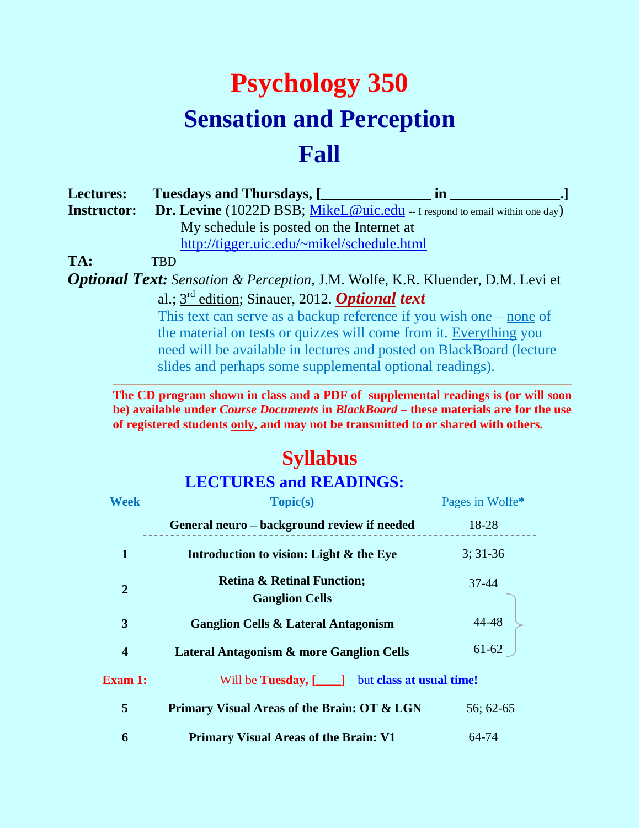## **Psychology 350 Sensation and Perception Fall**

| <b>Lectures:</b>   | <b>Tuesdays and Thursdays, [</b>           | m                                                                                |
|--------------------|--------------------------------------------|----------------------------------------------------------------------------------|
| <b>Instructor:</b> |                                            | <b>Dr. Levine</b> (1022D BSB; MikeL@uic.edu - I respond to email within one day) |
|                    | My schedule is posted on the Internet at   |                                                                                  |
|                    | http://tigger.uic.edu/~mikel/schedule.html |                                                                                  |
|                    | $\overline{\phantom{a}}$                   |                                                                                  |

**TA:** TBD

*Optional Text: Sensation & Perception,* J.M. Wolfe, K.R. Kluender, D.M. Levi et al.; 3 rd edition; Sinauer, 2012. *Optional text*

> This text can serve as a backup reference if you wish one – none of the material on tests or quizzes will come from it. Everything you need will be available in lectures and posted on BlackBoard (lecture slides and perhaps some supplemental optional readings).

**The CD program shown in class and a PDF of supplemental readings is (or will soon be) available under** *Course Documents* **in** *BlackBoard* **– these materials are for the use of registered students only, and may not be transmitted to or shared with others.**

## **Syllabus**

## **LECTURES and READINGS:**

| <b>Week</b>             | <b>Topic(s)</b>                                                | Pages in Wolfe* |
|-------------------------|----------------------------------------------------------------|-----------------|
|                         | General neuro - background review if needed                    | 18-28           |
| 1                       | Introduction to vision: Light & the Eye                        | $3:31-36$       |
| $\overline{2}$          | <b>Retina &amp; Retinal Function;</b><br><b>Ganglion Cells</b> | 37-44           |
| 3                       | <b>Ganglion Cells &amp; Lateral Antagonism</b>                 | 44-48           |
| $\overline{\mathbf{4}}$ | <b>Lateral Antagonism &amp; more Ganglion Cells</b>            | $61 - 62$       |
| <b>Exam 1:</b>          | Will be <b>Tuesday</b> , $[\_\_\]$ – but class at usual time!  |                 |
| 5                       | Primary Visual Areas of the Brain: OT & LGN                    | 56; 62-65       |
| 6                       | <b>Primary Visual Areas of the Brain: V1</b>                   | 64-74           |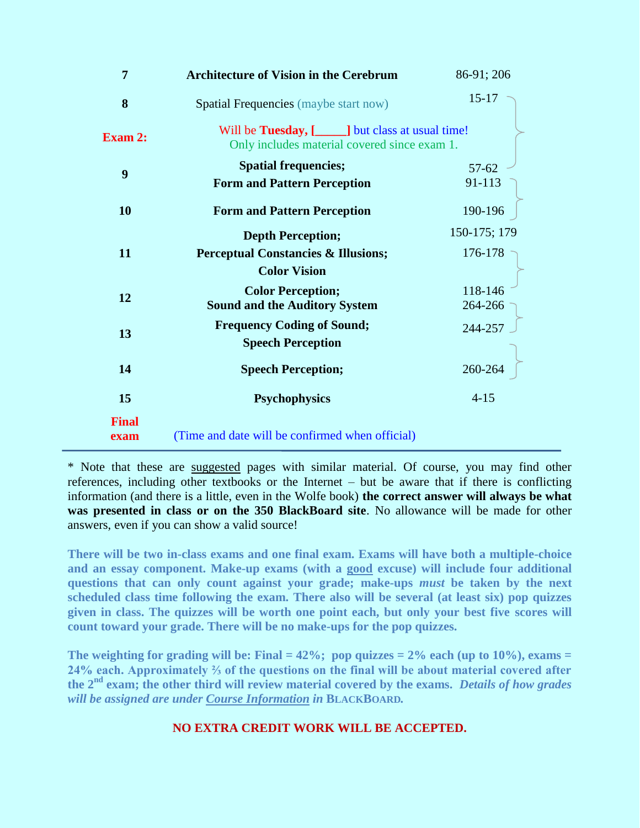| $\overline{7}$       | <b>Architecture of Vision in the Cerebrum</b>                                                            | 86-91; 206          |  |
|----------------------|----------------------------------------------------------------------------------------------------------|---------------------|--|
| 8                    | Spatial Frequencies (maybe start now)                                                                    | $15 - 17$           |  |
| <b>Exam 2:</b>       | Will be <b>Tuesday</b> , [1130] but class at usual time!<br>Only includes material covered since exam 1. |                     |  |
| 9                    | <b>Spatial frequencies;</b><br><b>Form and Pattern Perception</b>                                        | $57 - 62$<br>91-113 |  |
| <b>10</b>            | <b>Form and Pattern Perception</b>                                                                       | 190-196             |  |
|                      | <b>Depth Perception;</b>                                                                                 | 150-175; 179        |  |
| 11                   | <b>Perceptual Constancies &amp; Illusions;</b>                                                           | 176-178             |  |
|                      | <b>Color Vision</b>                                                                                      |                     |  |
| 12                   | <b>Color Perception;</b>                                                                                 | 118-146             |  |
|                      | <b>Sound and the Auditory System</b>                                                                     | 264-266             |  |
| 13                   | <b>Frequency Coding of Sound;</b>                                                                        | 244-257             |  |
|                      | <b>Speech Perception</b>                                                                                 |                     |  |
| 14                   | <b>Speech Perception;</b>                                                                                | 260-264             |  |
| 15                   | <b>Psychophysics</b>                                                                                     | $4 - 15$            |  |
| <b>Final</b><br>exam | (Time and date will be confirmed when official)                                                          |                     |  |

\* Note that these are suggested pages with similar material. Of course, you may find other references, including other textbooks or the Internet – but be aware that if there is conflicting information (and there is a little, even in the Wolfe book) **the correct answer will always be what was presented in class or on the 350 BlackBoard site**. No allowance will be made for other answers, even if you can show a valid source!

**There will be two in-class exams and one final exam. Exams will have both a multiple-choice and an essay component. Make-up exams (with a good excuse) will include four additional questions that can only count against your grade; make-ups** *must* **be taken by the next scheduled class time following the exam. There also will be several (at least six) pop quizzes given in class. The quizzes will be worth one point each, but only your best five scores will count toward your grade. There will be no make-ups for the pop quizzes.** 

The weighting for grading will be: Final  $= 42\%$ ; pop quizzes  $= 2\%$  each (up to  $10\%$ ), exams  $=$ **24% each. Approximately ⅔ of the questions on the final will be about material covered after the 2nd exam; the other third will review material covered by the exams.** *Details of how grades will be assigned are under Course Information in* **BLACKBOARD***.*

## **NO EXTRA CREDIT WORK WILL BE ACCEPTED.**